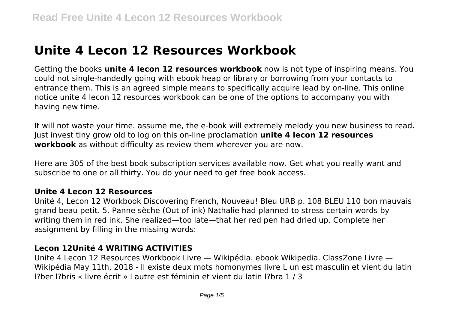# **Unite 4 Lecon 12 Resources Workbook**

Getting the books **unite 4 lecon 12 resources workbook** now is not type of inspiring means. You could not single-handedly going with ebook heap or library or borrowing from your contacts to entrance them. This is an agreed simple means to specifically acquire lead by on-line. This online notice unite 4 lecon 12 resources workbook can be one of the options to accompany you with having new time.

It will not waste your time. assume me, the e-book will extremely melody you new business to read. Just invest tiny grow old to log on this on-line proclamation **unite 4 lecon 12 resources workbook** as without difficulty as review them wherever you are now.

Here are 305 of the best book subscription services available now. Get what you really want and subscribe to one or all thirty. You do your need to get free book access.

#### **Unite 4 Lecon 12 Resources**

Unité 4, Leçon 12 Workbook Discovering French, Nouveau! Bleu URB p. 108 BLEU 110 bon mauvais grand beau petit. 5. Panne sèche (Out of ink) Nathalie had planned to stress certain words by writing them in red ink. She realized—too late—that her red pen had dried up. Complete her assignment by filling in the missing words:

#### **Leçon 12Unité 4 WRITING ACTIVITIES**

Unite 4 Lecon 12 Resources Workbook Livre — Wikipédia. ebook Wikipedia. ClassZone Livre — Wikipédia May 11th, 2018 - Il existe deux mots homonymes livre L un est masculin et vient du latin l?ber l?bris « livre écrit » l autre est féminin et vient du latin l?bra 1 / 3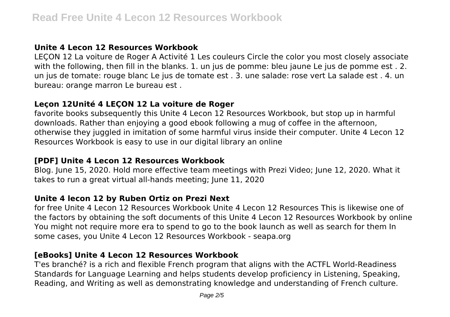# **Unite 4 Lecon 12 Resources Workbook**

LEÇON 12 La voiture de Roger A Activité 1 Les couleurs Circle the color you most closely associate with the following, then fill in the blanks. 1. un jus de pomme: bleu jaune Le jus de pomme est . 2. un jus de tomate: rouge blanc Le jus de tomate est . 3. une salade: rose vert La salade est . 4. un bureau: orange marron Le bureau est .

# **Leçon 12Unité 4 LEÇON 12 La voiture de Roger**

favorite books subsequently this Unite 4 Lecon 12 Resources Workbook, but stop up in harmful downloads. Rather than enjoying a good ebook following a mug of coffee in the afternoon, otherwise they juggled in imitation of some harmful virus inside their computer. Unite 4 Lecon 12 Resources Workbook is easy to use in our digital library an online

# **[PDF] Unite 4 Lecon 12 Resources Workbook**

Blog. June 15, 2020. Hold more effective team meetings with Prezi Video; June 12, 2020. What it takes to run a great virtual all-hands meeting; June 11, 2020

# **Unite 4 lecon 12 by Ruben Ortiz on Prezi Next**

for free Unite 4 Lecon 12 Resources Workbook Unite 4 Lecon 12 Resources This is likewise one of the factors by obtaining the soft documents of this Unite 4 Lecon 12 Resources Workbook by online You might not require more era to spend to go to the book launch as well as search for them In some cases, you Unite 4 Lecon 12 Resources Workbook - seapa.org

# **[eBooks] Unite 4 Lecon 12 Resources Workbook**

T'es branché? is a rich and flexible French program that aligns with the ACTFL World-Readiness Standards for Language Learning and helps students develop proficiency in Listening, Speaking, Reading, and Writing as well as demonstrating knowledge and understanding of French culture.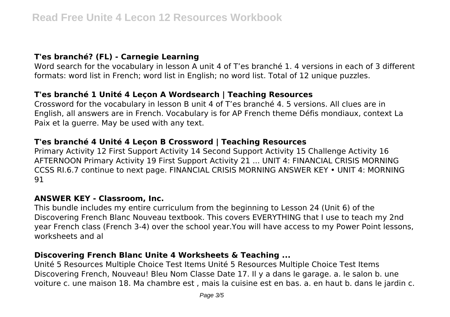## **T'es branché? (FL) - Carnegie Learning**

Word search for the vocabulary in lesson A unit 4 of T'es branché 1. 4 versions in each of 3 different formats: word list in French; word list in English; no word list. Total of 12 unique puzzles.

## **T'es branché 1 Unité 4 Leçon A Wordsearch | Teaching Resources**

Crossword for the vocabulary in lesson B unit 4 of T'es branché 4. 5 versions. All clues are in English, all answers are in French. Vocabulary is for AP French theme Défis mondiaux, context La Paix et la guerre. May be used with any text.

## **T'es branché 4 Unité 4 Leçon B Crossword | Teaching Resources**

Primary Activity 12 First Support Activity 14 Second Support Activity 15 Challenge Activity 16 AFTERNOON Primary Activity 19 First Support Activity 21 ... UNIT 4: FINANCIAL CRISIS MORNING CCSS RI.6.7 continue to next page. FINANCIAL CRISIS MORNING ANSWER KEY • UNIT 4: MORNING 91

#### **ANSWER KEY - Classroom, Inc.**

This bundle includes my entire curriculum from the beginning to Lesson 24 (Unit 6) of the Discovering French Blanc Nouveau textbook. This covers EVERYTHING that I use to teach my 2nd year French class (French 3-4) over the school year.You will have access to my Power Point lessons, worksheets and al

#### **Discovering French Blanc Unite 4 Worksheets & Teaching ...**

Unité 5 Resources Multiple Choice Test Items Unité 5 Resources Multiple Choice Test Items Discovering French, Nouveau! Bleu Nom Classe Date 17. Il y a dans le garage. a. le salon b. une voiture c. une maison 18. Ma chambre est , mais la cuisine est en bas. a. en haut b. dans le jardin c.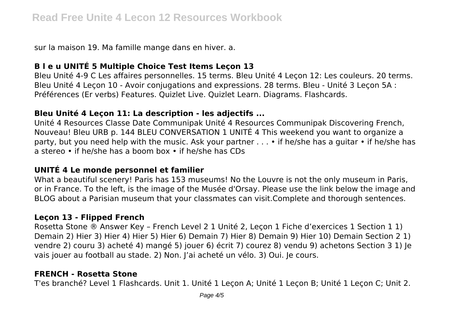sur la maison 19. Ma famille mange dans en hiver. a.

# **B l e u UNITÉ 5 Multiple Choice Test Items Leçon 13**

Bleu Unité 4-9 C Les affaires personnelles. 15 terms. Bleu Unité 4 Leçon 12: Les couleurs. 20 terms. Bleu Unité 4 Leçon 10 - Avoir conjugations and expressions. 28 terms. Bleu - Unité 3 Leçon 5A : Préférences (Er verbs) Features. Quizlet Live. Quizlet Learn. Diagrams. Flashcards.

# **Bleu Unité 4 Leçon 11: La description - les adjectifs ...**

Unité 4 Resources Classe Date Communipak Unité 4 Resources Communipak Discovering French, Nouveau! Bleu URB p. 144 BLEU CONVERSATION 1 UNITÉ 4 This weekend you want to organize a party, but you need help with the music. Ask your partner . . . • if he/she has a guitar • if he/she has a stereo • if he/she has a boom box • if he/she has CDs

# **UNITÉ 4 Le monde personnel et familier**

What a beautiful scenery! Paris has 153 museums! No the Louvre is not the only museum in Paris, or in France. To the left, is the image of the Musée d'Orsay. Please use the link below the image and BLOG about a Parisian museum that your classmates can visit.Complete and thorough sentences.

# **Leçon 13 - Flipped French**

Rosetta Stone ® Answer Key – French Level 2 1 Unité 2, Leçon 1 Fiche d'exercices 1 Section 1 1) Demain 2) Hier 3) Hier 4) Hier 5) Hier 6) Demain 7) Hier 8) Demain 9) Hier 10) Demain Section 2 1) vendre 2) couru 3) acheté 4) mangé 5) jouer 6) écrit 7) courez 8) vendu 9) achetons Section 3 1) Je vais jouer au football au stade. 2) Non. J'ai acheté un vélo. 3) Oui. Je cours.

## **FRENCH - Rosetta Stone**

T'es branché? Level 1 Flashcards. Unit 1. Unité 1 Leçon A; Unité 1 Leçon B; Unité 1 Leçon C; Unit 2.